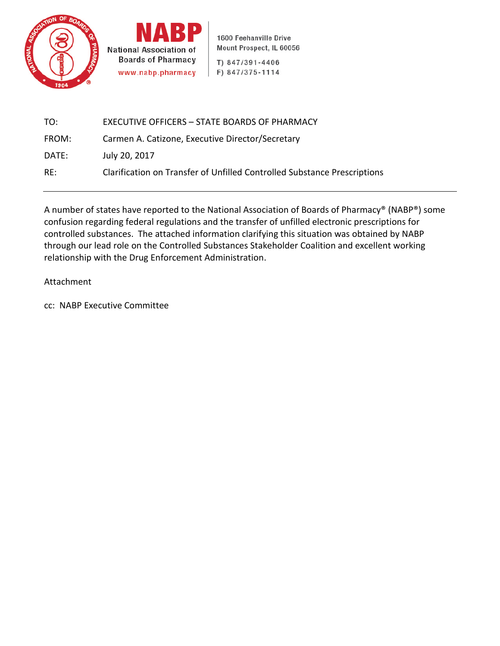



1600 Feehanville Drive Mount Prospect, IL 60056

T) 847/391-4406 F) 847/375-1114

| TO:   | <b>EXECUTIVE OFFICERS - STATE BOARDS OF PHARMACY</b>                     |
|-------|--------------------------------------------------------------------------|
| FROM: | Carmen A. Catizone, Executive Director/Secretary                         |
| DATE: | July 20, 2017                                                            |
| RE:   | Clarification on Transfer of Unfilled Controlled Substance Prescriptions |

A number of states have reported to the National Association of Boards of Pharmacy® (NABP®) some confusion regarding federal regulations and the transfer of unfilled electronic prescriptions for controlled substances. The attached information clarifying this situation was obtained by NABP through our lead role on the Controlled Substances Stakeholder Coalition and excellent working relationship with the Drug Enforcement Administration.

## Attachment

cc: NABP Executive Committee